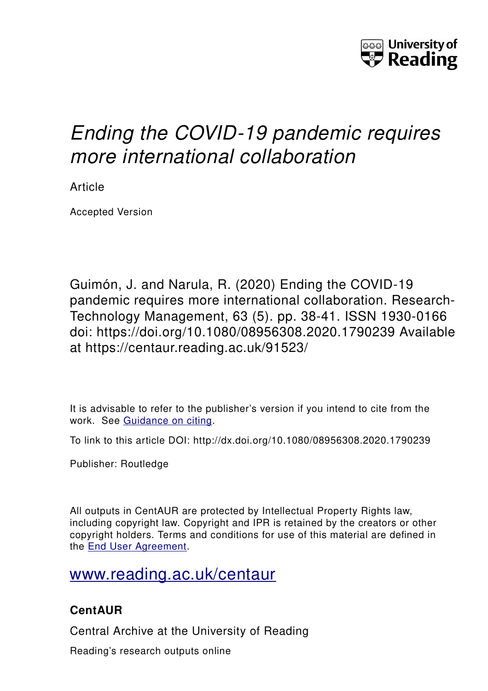

# *Ending the COVID-19 pandemic requires more international collaboration*

Article

Accepted Version

Guimón, J. and Narula, R. (2020) Ending the COVID-19 pandemic requires more international collaboration. Research-Technology Management, 63 (5). pp. 38-41. ISSN 1930-0166 doi: https://doi.org/10.1080/08956308.2020.1790239 Available at https://centaur.reading.ac.uk/91523/

It is advisable to refer to the publisher's version if you intend to cite from the work. See [Guidance on citing.](http://centaur.reading.ac.uk/71187/10/CentAUR%20citing%20guide.pdf)

To link to this article DOI: http://dx.doi.org/10.1080/08956308.2020.1790239

Publisher: Routledge

All outputs in CentAUR are protected by Intellectual Property Rights law, including copyright law. Copyright and IPR is retained by the creators or other copyright holders. Terms and conditions for use of this material are defined in the [End User Agreement.](http://centaur.reading.ac.uk/licence)

# [www.reading.ac.uk/centaur](http://www.reading.ac.uk/centaur)

### **CentAUR**

Central Archive at the University of Reading

Reading's research outputs online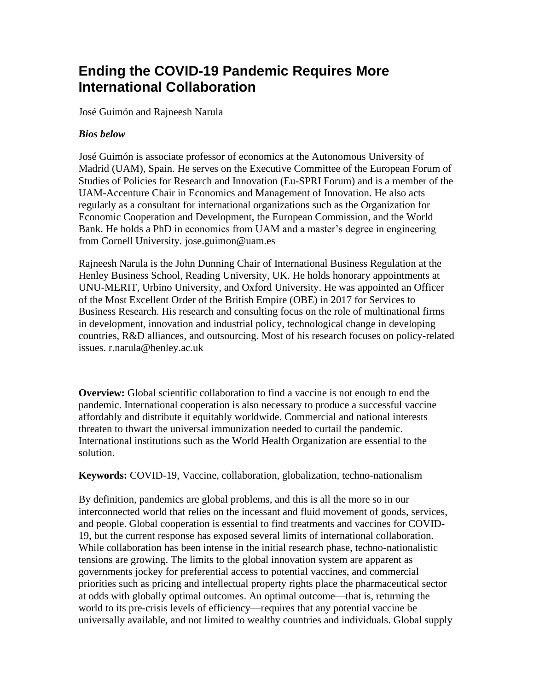## **Ending the COVID-19 Pandemic Requires More International Collaboration**

José Guimón and Rajneesh Narula

#### *Bios below*

José Guimón is associate professor of economics at the Autonomous University of Madrid (UAM), Spain. He serves on the Executive Committee of the European Forum of Studies of Policies for Research and Innovation (Eu-SPRI Forum) and is a member of the UAM-Accenture Chair in Economics and Management of Innovation. He also acts regularly as a consultant for international organizations such as the Organization for Economic Cooperation and Development, the European Commission, and the World Bank. He holds a PhD in economics from UAM and a master's degree in engineering from Cornell University. [jose.guimon@uam.es](mailto:jose.guimon@uam.es)

Rajneesh Narula is the John Dunning Chair of International Business Regulation at the Henley Business School, Reading University, UK. He holds honorary appointments at UNU-MERIT, Urbino University, and Oxford University. He was appointed an Officer of the Most Excellent Order of the British Empire (OBE) in 2017 for Services to Business Research. His research and consulting focus on the role of multinational firms in development, innovation and industrial policy, technological change in developing countries, R&D alliances, and outsourcing. Most of his research focuses on policy-related issues. [r.narula@henley.ac.uk](mailto:r.narula@henley.ac.uk)

**Overview:** Global scientific collaboration to find a vaccine is not enough to end the pandemic. International cooperation is also necessary to produce a successful vaccine affordably and distribute it equitably worldwide. Commercial and national interests threaten to thwart the universal immunization needed to curtail the pandemic. International institutions such as the World Health Organization are essential to the solution.

**Keywords:** COVID-19, Vaccine, collaboration, globalization, techno-nationalism

By definition, pandemics are global problems, and this is all the more so in our interconnected world that relies on the incessant and fluid movement of goods, services, and people. Global cooperation is essential to find treatments and vaccines for COVID-19, but the current response has exposed several limits of international collaboration. While collaboration has been intense in the initial research phase, techno-nationalistic tensions are growing. The limits to the global innovation system are apparent as governments jockey for preferential access to potential vaccines, and commercial priorities such as pricing and intellectual property rights place the pharmaceutical sector at odds with globally optimal outcomes. An optimal outcome—that is, returning the world to its pre-crisis levels of efficiency—requires that any potential vaccine be universally available, and not limited to wealthy countries and individuals. Global supply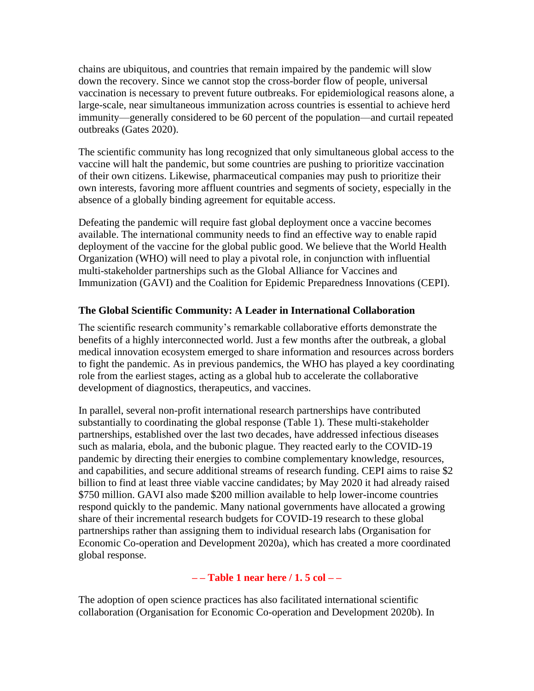chains are ubiquitous, and countries that remain impaired by the pandemic will slow down the recovery. Since we cannot stop the cross-border flow of people, universal vaccination is necessary to prevent future outbreaks. For epidemiological reasons alone, a large-scale, near simultaneous immunization across countries is essential to achieve herd immunity—generally considered to be 60 percent of the population—and curtail repeated outbreaks (Gates 2020).

The scientific community has long recognized that only simultaneous global access to the vaccine will halt the pandemic, but some countries are pushing to prioritize vaccination of their own citizens. Likewise, pharmaceutical companies may push to prioritize their own interests, favoring more affluent countries and segments of society, especially in the absence of a globally binding agreement for equitable access.

Defeating the pandemic will require fast global deployment once a vaccine becomes available. The international community needs to find an effective way to enable rapid deployment of the vaccine for the global public good. We believe that the World Health Organization (WHO) will need to play a pivotal role, in conjunction with influential multi-stakeholder partnerships such as the Global Alliance for Vaccines and Immunization (GAVI) and the Coalition for Epidemic Preparedness Innovations (CEPI).

#### **The Global Scientific Community: A Leader in International Collaboration**

The scientific research community's remarkable collaborative efforts demonstrate the benefits of a highly interconnected world. Just a few months after the outbreak, a global medical innovation ecosystem emerged to share information and resources across borders to fight the pandemic. As in previous pandemics, the WHO has played a key coordinating role from the earliest stages, acting as a global hub to accelerate the collaborative development of diagnostics, therapeutics, and vaccines.

In parallel, several non-profit international research partnerships have contributed substantially to coordinating the global response (Table 1). These multi-stakeholder partnerships, established over the last two decades, have addressed infectious diseases such as malaria, ebola, and the bubonic plague. They reacted early to the COVID-19 pandemic by directing their energies to combine complementary knowledge, resources, and capabilities, and secure additional streams of research funding. CEPI aims to raise \$2 billion to find at least three viable vaccine candidates; by May 2020 it had already raised \$750 million. GAVI also made \$200 million available to help lower-income countries respond quickly to the pandemic. Many national governments have allocated a growing share of their incremental research budgets for COVID-19 research to these global partnerships rather than assigning them to individual research labs (Organisation for Economic Co-operation and Development 2020a), which has created a more coordinated global response.

#### **– – Table 1 near here / 1. 5 col – –**

The adoption of open science practices has also facilitated international scientific collaboration (Organisation for Economic Co-operation and Development 2020b). In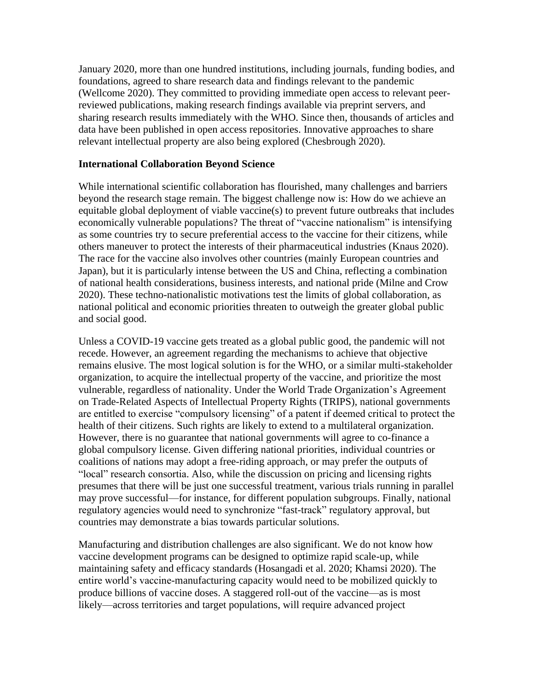January 2020, more than one hundred institutions, including journals, funding bodies, and foundations, agreed to share research data and findings relevant to the pandemic (Wellcome 2020). They committed to providing immediate open access to relevant peerreviewed publications, making research findings available via preprint servers, and sharing research results immediately with the WHO. Since then, thousands of articles and data have been published in open access repositories. Innovative approaches to share relevant intellectual property are also being explored (Chesbrough 2020).

#### **International Collaboration Beyond Science**

While international scientific collaboration has flourished, many challenges and barriers beyond the research stage remain. The biggest challenge now is: How do we achieve an equitable global deployment of viable vaccine(s) to prevent future outbreaks that includes economically vulnerable populations? The threat of "vaccine nationalism" is intensifying as some countries try to secure preferential access to the vaccine for their citizens, while others maneuver to protect the interests of their pharmaceutical industries (Knaus 2020). The race for the vaccine also involves other countries (mainly European countries and Japan), but it is particularly intense between the US and China, reflecting a combination of national health considerations, business interests, and national pride (Milne and Crow 2020). These techno-nationalistic motivations test the limits of global collaboration, as national political and economic priorities threaten to outweigh the greater global public and social good.

Unless a COVID-19 vaccine gets treated as a global public good, the pandemic will not recede. However, an agreement regarding the mechanisms to achieve that objective remains elusive. The most logical solution is for the WHO, or a similar multi-stakeholder organization, to acquire the intellectual property of the vaccine, and prioritize the most vulnerable, regardless of nationality. Under the World Trade Organization's Agreement on Trade-Related Aspects of Intellectual Property Rights (TRIPS), national governments are entitled to exercise "compulsory licensing" of a patent if deemed critical to protect the health of their citizens. Such rights are likely to extend to a multilateral organization. However, there is no guarantee that national governments will agree to co-finance a global compulsory license. Given differing national priorities, individual countries or coalitions of nations may adopt a free-riding approach, or may prefer the outputs of "local" research consortia. Also, while the discussion on pricing and licensing rights presumes that there will be just one successful treatment, various trials running in parallel may prove successful—for instance, for different population subgroups. Finally, national regulatory agencies would need to synchronize "fast-track" regulatory approval, but countries may demonstrate a bias towards particular solutions.

Manufacturing and distribution challenges are also significant. We do not know how vaccine development programs can be designed to optimize rapid scale-up, while maintaining safety and efficacy standards (Hosangadi et al. 2020; Khamsi 2020). The entire world's vaccine-manufacturing capacity would need to be mobilized quickly to produce billions of vaccine doses. A staggered roll-out of the vaccine—as is most likely—across territories and target populations, will require advanced project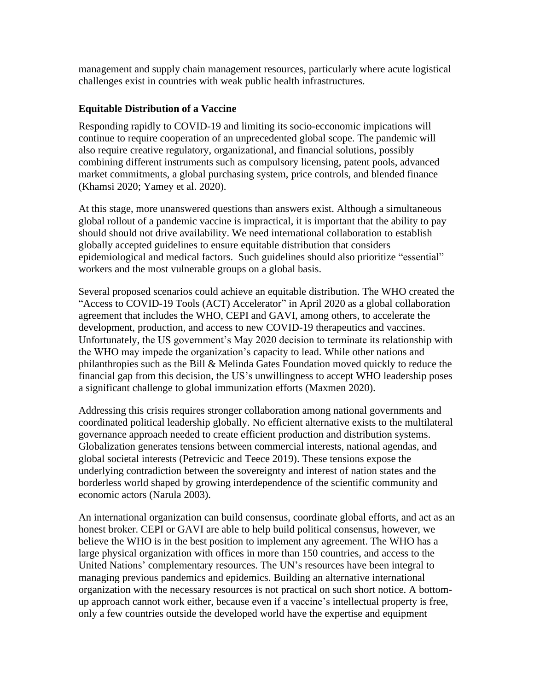management and supply chain management resources, particularly where acute logistical challenges exist in countries with weak public health infrastructures.

#### **Equitable Distribution of a Vaccine**

Responding rapidly to COVID-19 and limiting its socio-ecconomic impications will continue to require cooperation of an unprecedented global scope. The pandemic will also require creative regulatory, organizational, and financial solutions, possibly combining different instruments such as compulsory licensing, patent pools, advanced market commitments, a global purchasing system, price controls, and blended finance (Khamsi 2020; Yamey et al. 2020).

At this stage, more unanswered questions than answers exist. Although a simultaneous global rollout of a pandemic vaccine is impractical, it is important that the ability to pay should should not drive availability. We need international collaboration to establish globally accepted guidelines to ensure equitable distribution that considers epidemiological and medical factors. Such guidelines should also prioritize "essential" workers and the most vulnerable groups on a global basis.

Several proposed scenarios could achieve an equitable distribution. The WHO created the "Access to COVID-19 Tools (ACT) Accelerator" in April 2020 as a global collaboration agreement that includes the WHO, CEPI and GAVI, among others, to accelerate the development, production, and access to new COVID-19 therapeutics and vaccines. Unfortunately, the US government's May 2020 decision to terminate its relationship with the WHO may impede the organization's capacity to lead. While other nations and philanthropies such as the Bill & Melinda Gates Foundation moved quickly to reduce the financial gap from this decision, the US's unwillingness to accept WHO leadership poses a significant challenge to global immunization efforts (Maxmen 2020).

Addressing this crisis requires stronger collaboration among national governments and coordinated political leadership globally. No efficient alternative exists to the multilateral governance approach needed to create efficient production and distribution systems. Globalization generates tensions between commercial interests, national agendas, and global societal interests (Petrevicic and Teece 2019). These tensions expose the underlying contradiction between the sovereignty and interest of nation states and the borderless world shaped by growing interdependence of the scientific community and economic actors (Narula 2003).

An international organization can build consensus, coordinate global efforts, and act as an honest broker. CEPI or GAVI are able to help build political consensus, however, we believe the WHO is in the best position to implement any agreement. The WHO has a large physical organization with offices in more than 150 countries, and access to the United Nations' complementary resources. The UN's resources have been integral to managing previous pandemics and epidemics. Building an alternative international organization with the necessary resources is not practical on such short notice. A bottomup approach cannot work either, because even if a vaccine's intellectual property is free, only a few countries outside the developed world have the expertise and equipment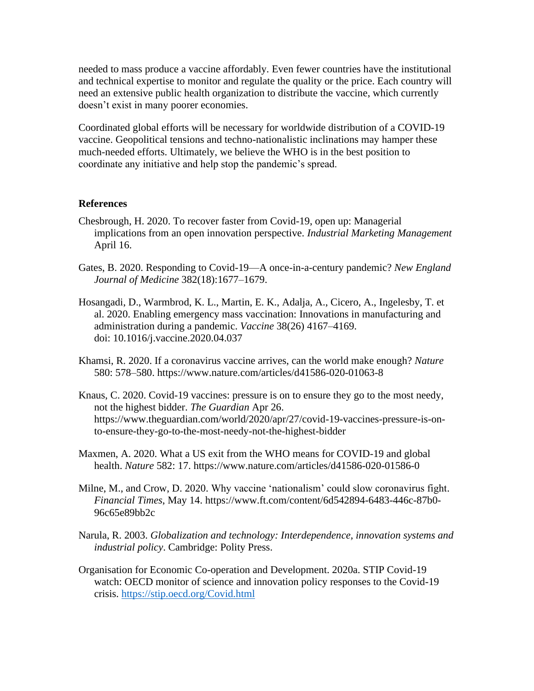needed to mass produce a vaccine affordably. Even fewer countries have the institutional and technical expertise to monitor and regulate the quality or the price. Each country will need an extensive public health organization to distribute the vaccine, which currently doesn't exist in many poorer economies.

Coordinated global efforts will be necessary for worldwide distribution of a COVID-19 vaccine. Geopolitical tensions and techno-nationalistic inclinations may hamper these much-needed efforts. Ultimately, we believe the WHO is in the best position to coordinate any initiative and help stop the pandemic's spread.

#### **References**

- Chesbrough, H. 2020. To recover faster from Covid-19, open up: Managerial implications from an open innovation perspective. *Industrial Marketing Management* April 16.
- Gates, B. 2020. Responding to Covid-19—A once-in-a-century pandemic? *New England Journal of Medicine* 382(18):1677–1679.
- Hosangadi, D., Warmbrod, K. L., Martin, E. K., Adalja, A., Cicero, A., Ingelesby, T. et al. 2020. Enabling emergency mass vaccination: Innovations in manufacturing and administration during a pandemic. *Vaccine* 38(26) 4167–4169. doi: [10.1016/j.vaccine.2020.04.037](https://dx.doi.org/10.1016%2Fj.vaccine.2020.04.037)
- Khamsi, R. 2020. If a coronavirus vaccine arrives, can the world make enough? *Nature* 580: 578–580. https://www.nature.com/articles/d41586-020-01063-8
- Knaus, C. 2020. Covid-19 vaccines: pressure is on to ensure they go to the most needy, not the highest bidder. *The Guardian* Apr 26. https://www.theguardian.com/world/2020/apr/27/covid-19-vaccines-pressure-is-onto-ensure-they-go-to-the-most-needy-not-the-highest-bidder
- Maxmen, A. 2020. What a US exit from the WHO means for COVID-19 and global health. *Nature* 582: 17. https://www.nature.com/articles/d41586-020-01586-0
- Milne, M., and Crow, D. 2020. Why vaccine 'nationalism' could slow coronavirus fight. *Financial Times*, May 14. https://www.ft.com/content/6d542894-6483-446c-87b0- 96c65e89bb2c
- Narula, R. 2003. *Globalization and technology: Interdependence, innovation systems and industrial policy*. Cambridge: Polity Press.
- Organisation for Economic Co-operation and Development. 2020a. STIP Covid-19 watch: OECD monitor of science and innovation policy responses to the Covid-19 crisis.<https://stip.oecd.org/Covid.html>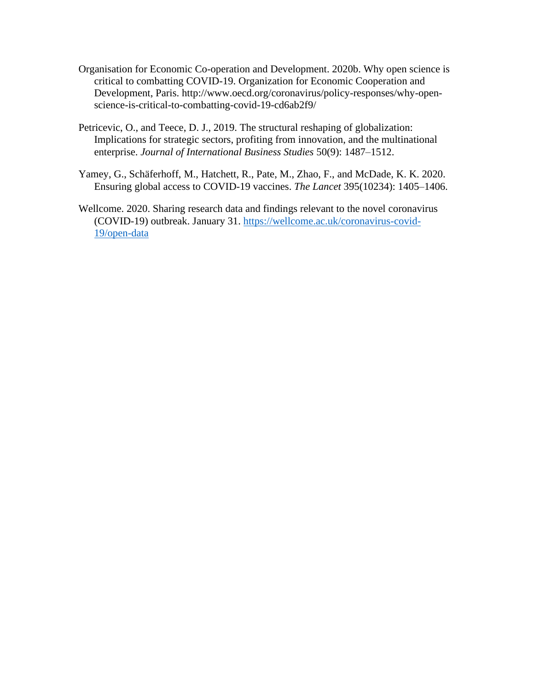- Organisation for Economic Co-operation and Development. 2020b. Why open science is critical to combatting COVID-19. Organization for Economic Cooperation and Development, Paris. http://www.oecd.org/coronavirus/policy-responses/why-openscience-is-critical-to-combatting-covid-19-cd6ab2f9/
- Petricevic, O., and Teece, D. J., 2019. The structural reshaping of globalization: Implications for strategic sectors, profiting from innovation, and the multinational enterprise. *Journal of International Business Studies* 50(9): 1487–1512.
- Yamey, G., Schäferhoff, M., Hatchett, R., Pate, M., Zhao, F., and McDade, K. K. 2020. Ensuring global access to COVID-19 vaccines. *The Lancet* 395(10234): 1405–1406.
- Wellcome. 2020. Sharing research data and findings relevant to the novel coronavirus (COVID-19) outbreak. January 31. [https://wellcome.ac.uk/coronavirus-covid-](https://wellcome.ac.uk/coronavirus-covid-19/open-data)[19/open-data](https://wellcome.ac.uk/coronavirus-covid-19/open-data)